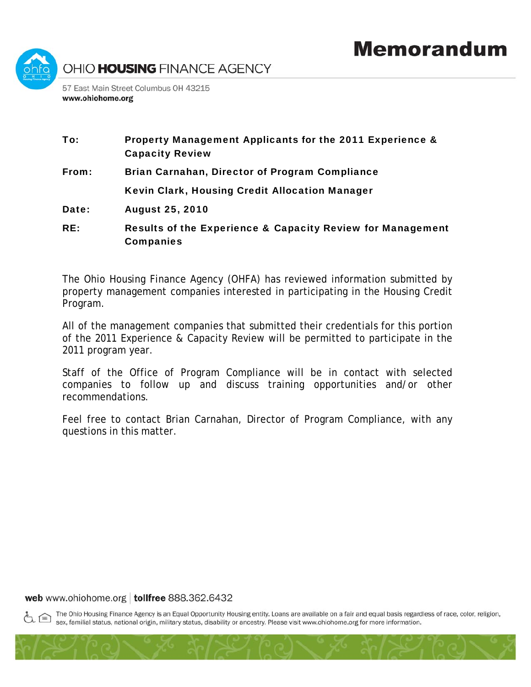

Companies

## To: Property Management Applicants for the 2011 Experience & Capacity Review From: Brian Carnahan, Director of Program Compliance Kevin Clark, Housing Credit Allocation Manager Date: August 25, 2010 RE: Results of the Experience & Capacity Review for Management

The Ohio Housing Finance Agency (OHFA) has reviewed information submitted by property management companies interested in participating in the Housing Credit Program.

All of the management companies that submitted their credentials for this portion of the 2011 Experience & Capacity Review will be permitted to participate in the 2011 program year.

Staff of the Office of Program Compliance will be in contact with selected companies to follow up and discuss training opportunities and/or other recommendations.

Feel free to contact Brian Carnahan, Director of Program Compliance, with any questions in this matter.

## web www.ohiohome.org | tollfree 888.362.6432

The Ohio Housing Finance Agency is an Equal Opportunity Housing entity. Loans are available on a fair and equal basis regardless of race, color, religion, sex, familial status, national origin, military status, disability or ancestry. Please visit www.ohiohome.org for more information.